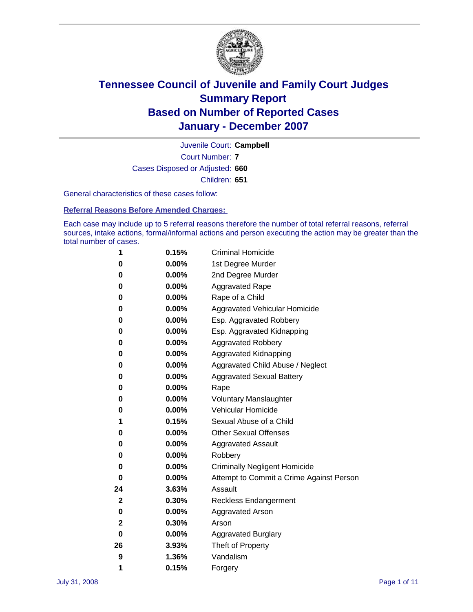

Court Number: **7** Juvenile Court: **Campbell** Cases Disposed or Adjusted: **660** Children: **651**

General characteristics of these cases follow:

**Referral Reasons Before Amended Charges:** 

Each case may include up to 5 referral reasons therefore the number of total referral reasons, referral sources, intake actions, formal/informal actions and person executing the action may be greater than the total number of cases.

| 1  | 0.15%    | <b>Criminal Homicide</b>                 |
|----|----------|------------------------------------------|
| 0  | 0.00%    | 1st Degree Murder                        |
| 0  | 0.00%    | 2nd Degree Murder                        |
|    |          |                                          |
| 0  | $0.00\%$ | <b>Aggravated Rape</b>                   |
| 0  | 0.00%    | Rape of a Child                          |
| 0  | 0.00%    | Aggravated Vehicular Homicide            |
| 0  | 0.00%    | Esp. Aggravated Robbery                  |
| 0  | 0.00%    | Esp. Aggravated Kidnapping               |
| 0  | 0.00%    | <b>Aggravated Robbery</b>                |
| 0  | 0.00%    | Aggravated Kidnapping                    |
| 0  | 0.00%    | Aggravated Child Abuse / Neglect         |
| 0  | 0.00%    | <b>Aggravated Sexual Battery</b>         |
| 0  | 0.00%    | Rape                                     |
| 0  | $0.00\%$ | <b>Voluntary Manslaughter</b>            |
| 0  | 0.00%    | Vehicular Homicide                       |
| 1  | 0.15%    | Sexual Abuse of a Child                  |
| 0  | $0.00\%$ | <b>Other Sexual Offenses</b>             |
| 0  | 0.00%    | <b>Aggravated Assault</b>                |
| 0  | 0.00%    | Robbery                                  |
| 0  | $0.00\%$ | <b>Criminally Negligent Homicide</b>     |
| 0  | 0.00%    | Attempt to Commit a Crime Against Person |
| 24 | 3.63%    | Assault                                  |
| 2  | 0.30%    | <b>Reckless Endangerment</b>             |
| 0  | 0.00%    | <b>Aggravated Arson</b>                  |
| 2  | 0.30%    | Arson                                    |
| 0  | 0.00%    | <b>Aggravated Burglary</b>               |
| 26 | 3.93%    | Theft of Property                        |
| 9  | 1.36%    | Vandalism                                |
| 1  | 0.15%    | Forgery                                  |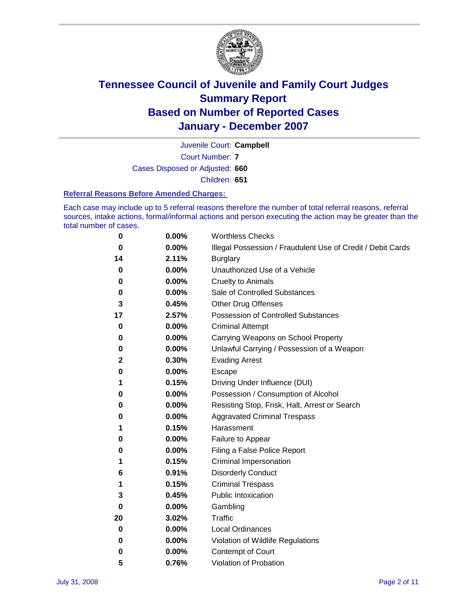

Court Number: **7** Juvenile Court: **Campbell** Cases Disposed or Adjusted: **660** Children: **651**

#### **Referral Reasons Before Amended Charges:**

Each case may include up to 5 referral reasons therefore the number of total referral reasons, referral sources, intake actions, formal/informal actions and person executing the action may be greater than the total number of cases.

| 0  | 0.00%    | <b>Worthless Checks</b>                                     |
|----|----------|-------------------------------------------------------------|
| 0  | 0.00%    | Illegal Possession / Fraudulent Use of Credit / Debit Cards |
| 14 | 2.11%    | <b>Burglary</b>                                             |
| 0  | 0.00%    | Unauthorized Use of a Vehicle                               |
| 0  | 0.00%    | <b>Cruelty to Animals</b>                                   |
| 0  | 0.00%    | Sale of Controlled Substances                               |
| 3  | 0.45%    | <b>Other Drug Offenses</b>                                  |
| 17 | 2.57%    | Possession of Controlled Substances                         |
| 0  | 0.00%    | <b>Criminal Attempt</b>                                     |
| 0  | 0.00%    | Carrying Weapons on School Property                         |
| 0  | 0.00%    | Unlawful Carrying / Possession of a Weapon                  |
| 2  | 0.30%    | <b>Evading Arrest</b>                                       |
| 0  | 0.00%    | Escape                                                      |
| 1  | 0.15%    | Driving Under Influence (DUI)                               |
| 0  | 0.00%    | Possession / Consumption of Alcohol                         |
| 0  | 0.00%    | Resisting Stop, Frisk, Halt, Arrest or Search               |
| 0  | 0.00%    | <b>Aggravated Criminal Trespass</b>                         |
| 1  | 0.15%    | Harassment                                                  |
| 0  | 0.00%    | Failure to Appear                                           |
| 0  | 0.00%    | Filing a False Police Report                                |
| 1  | 0.15%    | Criminal Impersonation                                      |
| 6  | 0.91%    | <b>Disorderly Conduct</b>                                   |
| 1  | 0.15%    | <b>Criminal Trespass</b>                                    |
| 3  | 0.45%    | <b>Public Intoxication</b>                                  |
| 0  | 0.00%    | Gambling                                                    |
| 20 | 3.02%    | <b>Traffic</b>                                              |
| 0  | $0.00\%$ | <b>Local Ordinances</b>                                     |
| 0  | 0.00%    | Violation of Wildlife Regulations                           |
| 0  | 0.00%    | Contempt of Court                                           |
| 5  | 0.76%    | Violation of Probation                                      |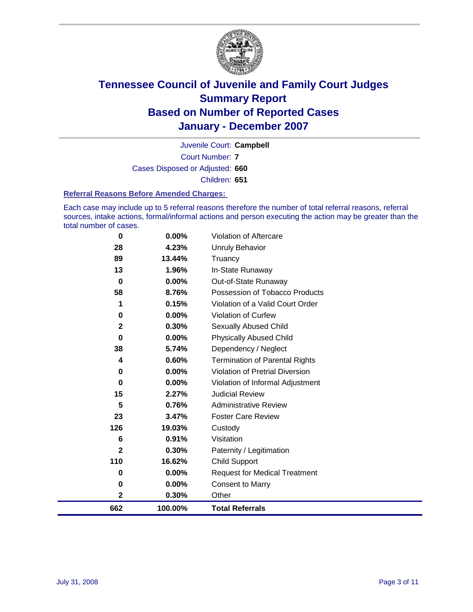

Court Number: **7** Juvenile Court: **Campbell** Cases Disposed or Adjusted: **660** Children: **651**

#### **Referral Reasons Before Amended Charges:**

Each case may include up to 5 referral reasons therefore the number of total referral reasons, referral sources, intake actions, formal/informal actions and person executing the action may be greater than the total number of cases.

| 662          | 100.00% | <b>Total Referrals</b>                 |
|--------------|---------|----------------------------------------|
| 2            | 0.30%   | Other                                  |
| $\bf{0}$     | 0.00%   | <b>Consent to Marry</b>                |
| 0            | 0.00%   | <b>Request for Medical Treatment</b>   |
| 110          | 16.62%  | <b>Child Support</b>                   |
| $\mathbf{2}$ | 0.30%   | Paternity / Legitimation               |
| 6            | 0.91%   | Visitation                             |
| 126          | 19.03%  | Custody                                |
| 23           | 3.47%   | <b>Foster Care Review</b>              |
| 5            | 0.76%   | <b>Administrative Review</b>           |
| 15           | 2.27%   | <b>Judicial Review</b>                 |
| 0            | 0.00%   | Violation of Informal Adjustment       |
| 0            | 0.00%   | <b>Violation of Pretrial Diversion</b> |
| 4            | 0.60%   | <b>Termination of Parental Rights</b>  |
| 38           | 5.74%   | Dependency / Neglect                   |
| $\bf{0}$     | 0.00%   | <b>Physically Abused Child</b>         |
| $\mathbf{2}$ | 0.30%   | <b>Sexually Abused Child</b>           |
| 0            | 0.00%   | Violation of Curfew                    |
| 1            | 0.15%   | Violation of a Valid Court Order       |
| 58           | 8.76%   | Possession of Tobacco Products         |
| $\mathbf 0$  | 0.00%   | Out-of-State Runaway                   |
| 13           | 1.96%   | In-State Runaway                       |
| 89           | 13.44%  | Truancy                                |
| 28           | 4.23%   | <b>Unruly Behavior</b>                 |
| 0            | 0.00%   | Violation of Aftercare                 |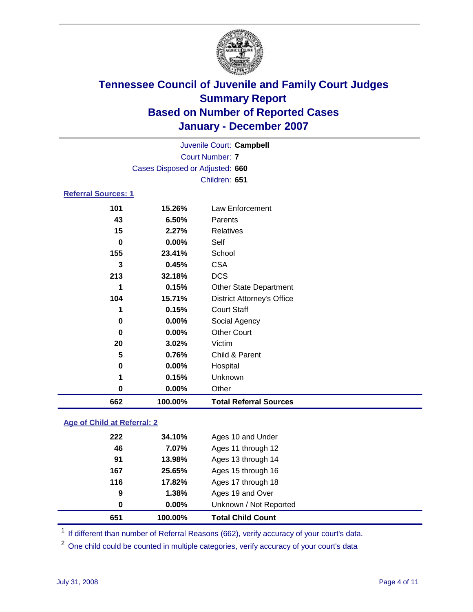

Court Number: **7** Juvenile Court: **Campbell** Cases Disposed or Adjusted: **660** Children: **651**

### **Referral Sources: 1**

| 662 | 100.00% | <b>Total Referral Sources</b>     |
|-----|---------|-----------------------------------|
| 0   | 0.00%   | Other                             |
| 1   | 0.15%   | Unknown                           |
| 0   | 0.00%   | Hospital                          |
| 5   | 0.76%   | Child & Parent                    |
| 20  | 3.02%   | Victim                            |
| 0   | 0.00%   | <b>Other Court</b>                |
| 0   | 0.00%   | Social Agency                     |
| 1   | 0.15%   | <b>Court Staff</b>                |
| 104 | 15.71%  | <b>District Attorney's Office</b> |
| 1   | 0.15%   | <b>Other State Department</b>     |
| 213 | 32.18%  | <b>DCS</b>                        |
| 3   | 0.45%   | <b>CSA</b>                        |
| 155 | 23.41%  | School                            |
| 0   | 0.00%   | Self                              |
| 15  | 2.27%   | Relatives                         |
| 43  | 6.50%   | Parents                           |
| 101 | 15.26%  | Law Enforcement                   |

### **Age of Child at Referral: 2**

| 651 | 100.00%  | <b>Total Child Count</b> |  |
|-----|----------|--------------------------|--|
| 0   | $0.00\%$ | Unknown / Not Reported   |  |
| 9   | 1.38%    | Ages 19 and Over         |  |
| 116 | 17.82%   | Ages 17 through 18       |  |
| 167 | 25.65%   | Ages 15 through 16       |  |
| 91  | 13.98%   | Ages 13 through 14       |  |
| 46  | 7.07%    | Ages 11 through 12       |  |
| 222 | 34.10%   | Ages 10 and Under        |  |
|     |          |                          |  |

<sup>1</sup> If different than number of Referral Reasons (662), verify accuracy of your court's data.

One child could be counted in multiple categories, verify accuracy of your court's data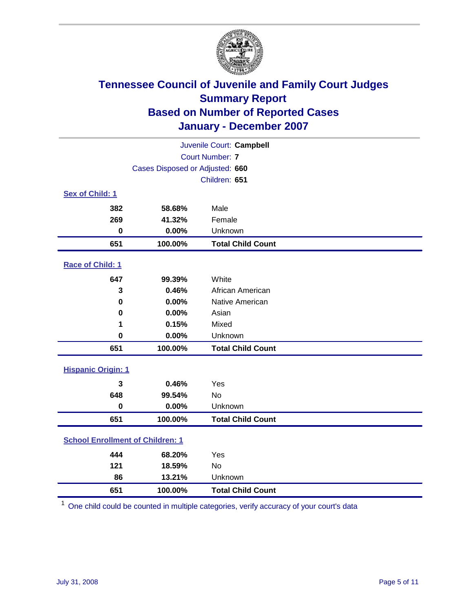

| Juvenile Court: Campbell                |                                 |                          |  |  |  |
|-----------------------------------------|---------------------------------|--------------------------|--|--|--|
|                                         | <b>Court Number: 7</b>          |                          |  |  |  |
|                                         | Cases Disposed or Adjusted: 660 |                          |  |  |  |
|                                         |                                 | Children: 651            |  |  |  |
| Sex of Child: 1                         |                                 |                          |  |  |  |
| 382                                     | 58.68%                          | Male                     |  |  |  |
| 269                                     | 41.32%                          | Female                   |  |  |  |
| $\bf{0}$                                | 0.00%                           | Unknown                  |  |  |  |
| 651                                     | 100.00%                         | <b>Total Child Count</b> |  |  |  |
| Race of Child: 1                        |                                 |                          |  |  |  |
| 647                                     | 99.39%                          | White                    |  |  |  |
| 3                                       | 0.46%                           | African American         |  |  |  |
| $\bf{0}$                                | 0.00%                           | Native American          |  |  |  |
| 0                                       | 0.00%                           | Asian                    |  |  |  |
| 1                                       | 0.15%                           | Mixed                    |  |  |  |
| $\bf{0}$                                | 0.00%                           | Unknown                  |  |  |  |
| 651                                     | 100.00%                         | <b>Total Child Count</b> |  |  |  |
| <b>Hispanic Origin: 1</b>               |                                 |                          |  |  |  |
| 3                                       | 0.46%                           | Yes                      |  |  |  |
| 648                                     | 99.54%                          | <b>No</b>                |  |  |  |
| $\bf{0}$                                | 0.00%                           | Unknown                  |  |  |  |
| 651                                     | 100.00%                         | <b>Total Child Count</b> |  |  |  |
| <b>School Enrollment of Children: 1</b> |                                 |                          |  |  |  |
| 444                                     | 68.20%                          | Yes                      |  |  |  |
| 121                                     | 18.59%                          | No                       |  |  |  |
| 86                                      | 13.21%                          | Unknown                  |  |  |  |
| 651                                     | 100.00%                         | <b>Total Child Count</b> |  |  |  |

One child could be counted in multiple categories, verify accuracy of your court's data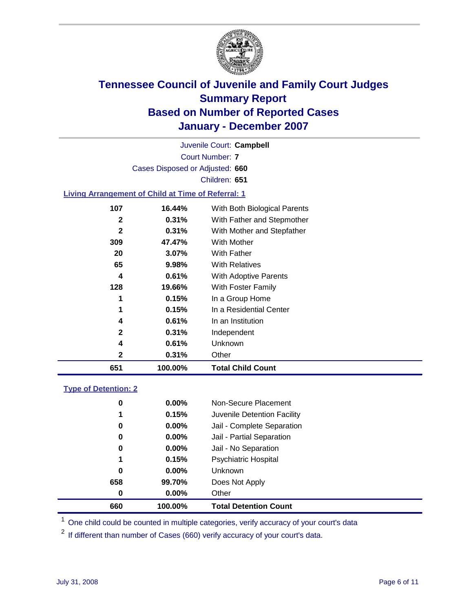

Court Number: **7** Juvenile Court: **Campbell** Cases Disposed or Adjusted: **660** Children: **651**

#### **Living Arrangement of Child at Time of Referral: 1**

| 651          | 100.00%  | <b>Total Child Count</b>     |
|--------------|----------|------------------------------|
| 2            | 0.31%    | Other                        |
| 4            | 0.61%    | Unknown                      |
| 2            | $0.31\%$ | Independent                  |
| 4            | 0.61%    | In an Institution            |
| 1            | 0.15%    | In a Residential Center      |
| 1            | 0.15%    | In a Group Home              |
| 128          | 19.66%   | With Foster Family           |
| 4            | 0.61%    | With Adoptive Parents        |
| 65           | $9.98\%$ | <b>With Relatives</b>        |
| 20           | $3.07\%$ | <b>With Father</b>           |
| 309          | 47.47%   | With Mother                  |
| $\mathbf{2}$ | 0.31%    | With Mother and Stepfather   |
| 2            | 0.31%    | With Father and Stepmother   |
| 107          | 16.44%   | With Both Biological Parents |
|              |          |                              |

#### **Type of Detention: 2**

| 660 | 100.00%  | <b>Total Detention Count</b> |
|-----|----------|------------------------------|
| 0   | $0.00\%$ | Other                        |
| 658 | 99.70%   | Does Not Apply               |
| 0   | $0.00\%$ | <b>Unknown</b>               |
| 1   | 0.15%    | <b>Psychiatric Hospital</b>  |
| 0   | 0.00%    | Jail - No Separation         |
| 0   | $0.00\%$ | Jail - Partial Separation    |
| 0   | 0.00%    | Jail - Complete Separation   |
| 1   | 0.15%    | Juvenile Detention Facility  |
| 0   | $0.00\%$ | Non-Secure Placement         |
|     |          |                              |

<sup>1</sup> One child could be counted in multiple categories, verify accuracy of your court's data

<sup>2</sup> If different than number of Cases (660) verify accuracy of your court's data.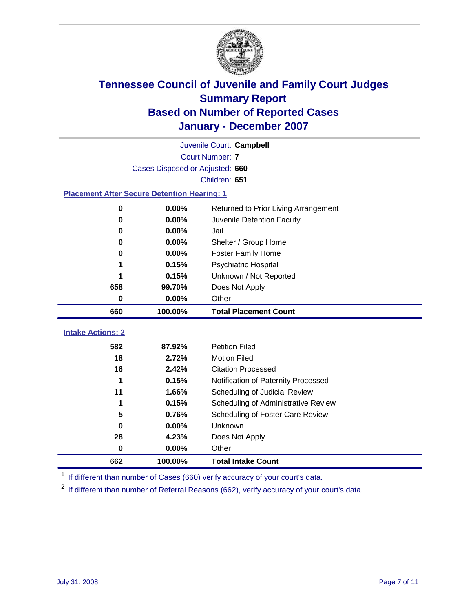

|                                                    | Juvenile Court: Campbell        |                                      |  |  |  |  |  |
|----------------------------------------------------|---------------------------------|--------------------------------------|--|--|--|--|--|
|                                                    | <b>Court Number: 7</b>          |                                      |  |  |  |  |  |
|                                                    | Cases Disposed or Adjusted: 660 |                                      |  |  |  |  |  |
|                                                    | Children: 651                   |                                      |  |  |  |  |  |
| <b>Placement After Secure Detention Hearing: 1</b> |                                 |                                      |  |  |  |  |  |
| 0                                                  | 0.00%                           | Returned to Prior Living Arrangement |  |  |  |  |  |
| $\bf{0}$                                           | 0.00%                           | Juvenile Detention Facility          |  |  |  |  |  |
| 0                                                  | 0.00%                           | Jail                                 |  |  |  |  |  |
| 0                                                  | 0.00%                           | Shelter / Group Home                 |  |  |  |  |  |
| $\bf{0}$                                           | 0.00%                           | <b>Foster Family Home</b>            |  |  |  |  |  |
| 1                                                  | 0.15%                           | Psychiatric Hospital                 |  |  |  |  |  |
|                                                    | 0.15%                           | Unknown / Not Reported               |  |  |  |  |  |
| 658                                                | 99.70%                          | Does Not Apply                       |  |  |  |  |  |
| $\bf{0}$                                           | 0.00%                           | Other                                |  |  |  |  |  |
| 660                                                | 100.00%                         | <b>Total Placement Count</b>         |  |  |  |  |  |
| <b>Intake Actions: 2</b>                           |                                 |                                      |  |  |  |  |  |
|                                                    |                                 |                                      |  |  |  |  |  |
| 582                                                | 87.92%                          | <b>Petition Filed</b>                |  |  |  |  |  |
| 18                                                 | 2.72%                           | <b>Motion Filed</b>                  |  |  |  |  |  |
| 16                                                 | 2.42%                           | <b>Citation Processed</b>            |  |  |  |  |  |
| 1                                                  | 0.15%                           | Notification of Paternity Processed  |  |  |  |  |  |
| 11                                                 | 1.66%                           | Scheduling of Judicial Review        |  |  |  |  |  |
| 1                                                  | 0.15%                           | Scheduling of Administrative Review  |  |  |  |  |  |
| 5                                                  | 0.76%                           | Scheduling of Foster Care Review     |  |  |  |  |  |
| $\bf{0}$                                           | 0.00%                           | Unknown                              |  |  |  |  |  |
| 28                                                 | 4.23%                           | Does Not Apply                       |  |  |  |  |  |
| 0                                                  | 0.00%                           | Other                                |  |  |  |  |  |
| 662                                                | 100.00%                         | <b>Total Intake Count</b>            |  |  |  |  |  |

<sup>1</sup> If different than number of Cases (660) verify accuracy of your court's data.

<sup>2</sup> If different than number of Referral Reasons (662), verify accuracy of your court's data.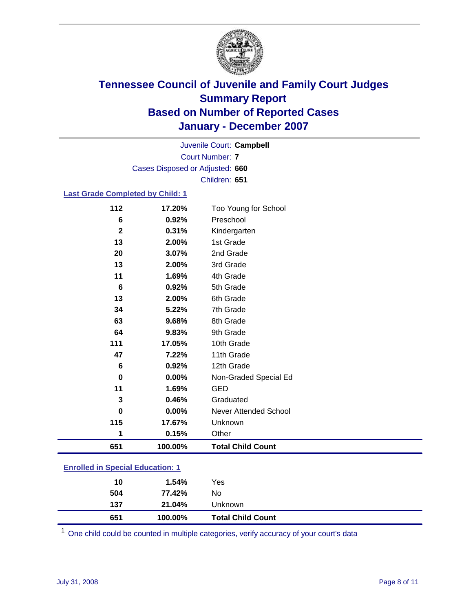

Court Number: **7** Juvenile Court: **Campbell** Cases Disposed or Adjusted: **660** Children: **651**

### **Last Grade Completed by Child: 1**

| 112             | 17.20%  | Too Young for School     |
|-----------------|---------|--------------------------|
| 6               | 0.92%   | Preschool                |
| $\mathbf 2$     | 0.31%   | Kindergarten             |
| 13              | 2.00%   | 1st Grade                |
| 20              | 3.07%   | 2nd Grade                |
| 13              | 2.00%   | 3rd Grade                |
| 11              | 1.69%   | 4th Grade                |
| $6\phantom{1}6$ | 0.92%   | 5th Grade                |
| 13              | 2.00%   | 6th Grade                |
| 34              | 5.22%   | 7th Grade                |
| 63              | 9.68%   | 8th Grade                |
| 64              | 9.83%   | 9th Grade                |
| 111             | 17.05%  | 10th Grade               |
| 47              | 7.22%   | 11th Grade               |
| 6               | 0.92%   | 12th Grade               |
| 0               | 0.00%   | Non-Graded Special Ed    |
| 11              | 1.69%   | <b>GED</b>               |
| 3               | 0.46%   | Graduated                |
| $\bf{0}$        | 0.00%   | Never Attended School    |
| 115             | 17.67%  | Unknown                  |
| 1               | 0.15%   | Other                    |
| 651             | 100.00% | <b>Total Child Count</b> |

### **Enrolled in Special Education: 1**

<sup>1</sup> One child could be counted in multiple categories, verify accuracy of your court's data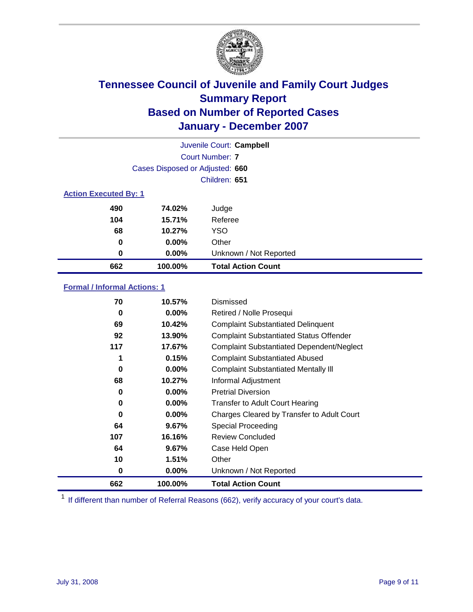

| Juvenile Court: Campbell |                                 |                           |  |  |  |
|--------------------------|---------------------------------|---------------------------|--|--|--|
|                          | Court Number: 7                 |                           |  |  |  |
|                          | Cases Disposed or Adjusted: 660 |                           |  |  |  |
|                          | Children: 651                   |                           |  |  |  |
|                          | <b>Action Executed By: 1</b>    |                           |  |  |  |
| 490                      | 74.02%                          | Judge                     |  |  |  |
| 104                      | 15.71%                          | Referee                   |  |  |  |
| 68                       | 10.27%                          | <b>YSO</b>                |  |  |  |
| 0                        | $0.00\%$                        | Other                     |  |  |  |
| $\bf{0}$                 | 0.00%                           | Unknown / Not Reported    |  |  |  |
| 662                      | 100.00%                         | <b>Total Action Count</b> |  |  |  |

### **Formal / Informal Actions: 1**

| 70  | 10.57%   | Dismissed                                        |
|-----|----------|--------------------------------------------------|
| 0   | $0.00\%$ | Retired / Nolle Prosequi                         |
| 69  | 10.42%   | <b>Complaint Substantiated Delinguent</b>        |
| 92  | 13.90%   | <b>Complaint Substantiated Status Offender</b>   |
| 117 | 17.67%   | <b>Complaint Substantiated Dependent/Neglect</b> |
|     | 0.15%    | <b>Complaint Substantiated Abused</b>            |
| 0   | $0.00\%$ | <b>Complaint Substantiated Mentally III</b>      |
| 68  | 10.27%   | Informal Adjustment                              |
| 0   | 0.00%    | <b>Pretrial Diversion</b>                        |
| 0   | $0.00\%$ | <b>Transfer to Adult Court Hearing</b>           |
| 0   | $0.00\%$ | Charges Cleared by Transfer to Adult Court       |
| 64  | 9.67%    | Special Proceeding                               |
| 107 | 16.16%   | <b>Review Concluded</b>                          |
| 64  | 9.67%    | Case Held Open                                   |
| 10  | 1.51%    | Other                                            |
| 0   | $0.00\%$ | Unknown / Not Reported                           |
| 662 | 100.00%  | <b>Total Action Count</b>                        |

<sup>1</sup> If different than number of Referral Reasons (662), verify accuracy of your court's data.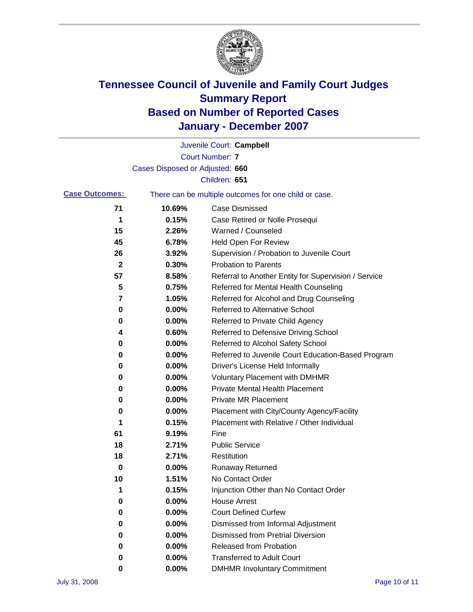

|                       |                                                       | Juvenile Court: Campbell                             |
|-----------------------|-------------------------------------------------------|------------------------------------------------------|
|                       |                                                       | <b>Court Number: 7</b>                               |
|                       | Cases Disposed or Adjusted: 660                       |                                                      |
|                       |                                                       | Children: 651                                        |
| <b>Case Outcomes:</b> | There can be multiple outcomes for one child or case. |                                                      |
| 71                    | 10.69%                                                | Case Dismissed                                       |
| 1                     | 0.15%                                                 | Case Retired or Nolle Prosequi                       |
| 15                    | 2.26%                                                 | Warned / Counseled                                   |
| 45                    | 6.78%                                                 | <b>Held Open For Review</b>                          |
| 26                    | 3.92%                                                 | Supervision / Probation to Juvenile Court            |
| 2                     | 0.30%                                                 | <b>Probation to Parents</b>                          |
| 57                    | 8.58%                                                 | Referral to Another Entity for Supervision / Service |
| 5                     | 0.75%                                                 | Referred for Mental Health Counseling                |
| 7                     | 1.05%                                                 | Referred for Alcohol and Drug Counseling             |
| 0                     | 0.00%                                                 | <b>Referred to Alternative School</b>                |
| 0                     | 0.00%                                                 | Referred to Private Child Agency                     |
| 4                     | 0.60%                                                 | Referred to Defensive Driving School                 |
| 0                     | 0.00%                                                 | Referred to Alcohol Safety School                    |
| 0                     | 0.00%                                                 | Referred to Juvenile Court Education-Based Program   |
| 0                     | 0.00%                                                 | Driver's License Held Informally                     |
| 0                     | 0.00%                                                 | <b>Voluntary Placement with DMHMR</b>                |
| 0                     | 0.00%                                                 | <b>Private Mental Health Placement</b>               |
| 0                     | 0.00%                                                 | <b>Private MR Placement</b>                          |
| 0                     | 0.00%                                                 | Placement with City/County Agency/Facility           |
| 1                     | 0.15%                                                 | Placement with Relative / Other Individual           |
| 61                    | 9.19%                                                 | Fine                                                 |
| 18                    | 2.71%                                                 | <b>Public Service</b>                                |
| 18                    | 2.71%                                                 | Restitution                                          |
| 0                     | 0.00%                                                 | <b>Runaway Returned</b>                              |
| 10                    | 1.51%                                                 | No Contact Order                                     |
| 1                     | 0.15%                                                 | Injunction Other than No Contact Order               |
| 0                     | 0.00%                                                 | <b>House Arrest</b>                                  |
| 0                     | 0.00%                                                 | <b>Court Defined Curfew</b>                          |
| 0                     | 0.00%                                                 | Dismissed from Informal Adjustment                   |
| 0                     | 0.00%                                                 | <b>Dismissed from Pretrial Diversion</b>             |
| 0                     | 0.00%                                                 | <b>Released from Probation</b>                       |
| 0                     | 0.00%                                                 | <b>Transferred to Adult Court</b>                    |
| 0                     | 0.00%                                                 | <b>DMHMR Involuntary Commitment</b>                  |